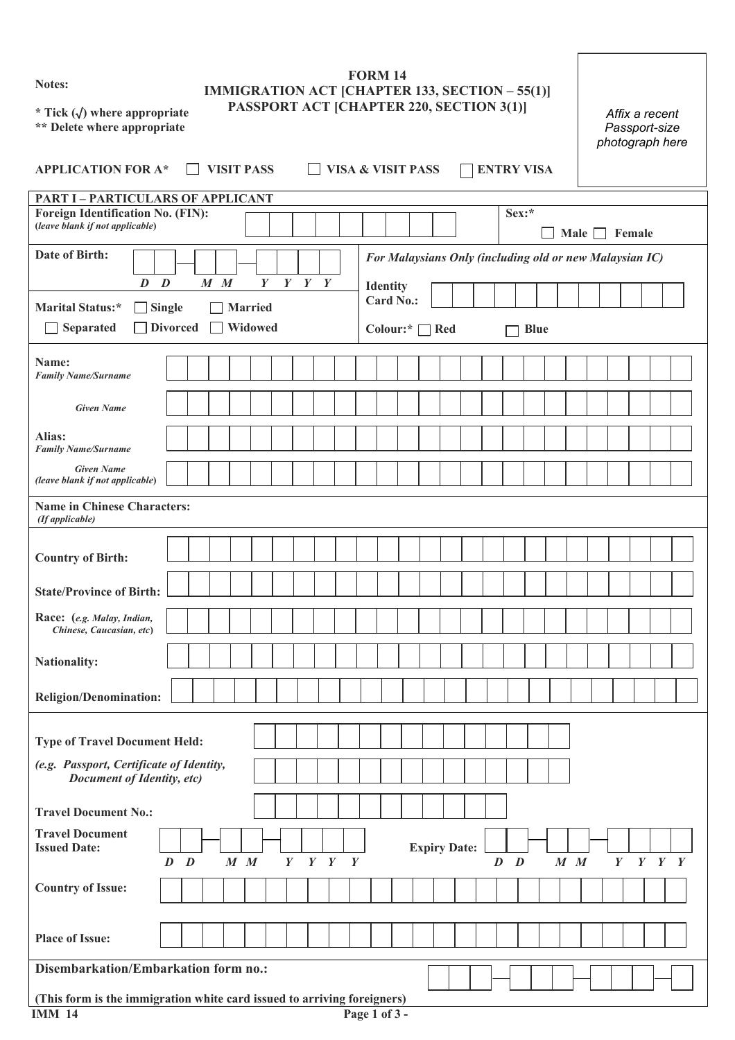**Notes:** 

## **FORM 14 IMMIGRATION ACT [CHAPTER 133, SECTION – 55(1)] PASSPORT ACT [CHAPTER 220, SECTION 3(1)]**

**\* Tick (**√**) where appropriate \*\* Delete where appropriate** 

| Affix a recent  |
|-----------------|
| Passport-size   |
| photograph here |

| <b>APPLICATION FOR A*</b>                                                     |                                  |         | <b>VISIT PASS</b> |         |                           |                  |             |             |  | <b>VISA &amp; VISIT PASS</b>                      |  |                     |  |         | <b>ENTRY VISA</b> |             |         |                  |                                                         | priotograph nord |  |
|-------------------------------------------------------------------------------|----------------------------------|---------|-------------------|---------|---------------------------|------------------|-------------|-------------|--|---------------------------------------------------|--|---------------------|--|---------|-------------------|-------------|---------|------------------|---------------------------------------------------------|------------------|--|
| <b>PART I - PARTICULARS OF APPLICANT</b>                                      |                                  |         |                   |         |                           |                  |             |             |  |                                                   |  |                     |  |         |                   |             |         |                  |                                                         |                  |  |
| Foreign Identification No. (FIN):<br>(leave blank if not applicable)          |                                  |         |                   |         |                           |                  |             |             |  |                                                   |  |                     |  |         | Sex:*             |             |         |                  | Male $\Box$ Female                                      |                  |  |
| Date of Birth:<br>$\boldsymbol{D}$                                            | $\boldsymbol{D}$                 |         | $M$ $M$           |         | Y                         |                  | $Y$ $Y$ $Y$ |             |  |                                                   |  |                     |  |         |                   |             |         |                  | For Malaysians Only (including old or new Malaysian IC) |                  |  |
| Marital Status:*<br>$\blacksquare$<br><b>Separated</b>                        | <b>Single</b><br><b>Divorced</b> |         |                   |         | <b>Married</b><br>Widowed |                  |             |             |  | <b>Identity</b><br><b>Card No.:</b><br>Colour:* [ |  | Red                 |  |         |                   | <b>Blue</b> |         |                  |                                                         |                  |  |
| Name:<br><b>Family Name/Surname</b>                                           |                                  |         |                   |         |                           |                  |             |             |  |                                                   |  |                     |  |         |                   |             |         |                  |                                                         |                  |  |
| <b>Given Name</b>                                                             |                                  |         |                   |         |                           |                  |             |             |  |                                                   |  |                     |  |         |                   |             |         |                  |                                                         |                  |  |
| Alias:<br><b>Family Name/Surname</b>                                          |                                  |         |                   |         |                           |                  |             |             |  |                                                   |  |                     |  |         |                   |             |         |                  |                                                         |                  |  |
| <b>Given Name</b><br>(leave blank if not applicable)                          |                                  |         |                   |         |                           |                  |             |             |  |                                                   |  |                     |  |         |                   |             |         |                  |                                                         |                  |  |
| <b>Name in Chinese Characters:</b><br>(If applicable)                         |                                  |         |                   |         |                           |                  |             |             |  |                                                   |  |                     |  |         |                   |             |         |                  |                                                         |                  |  |
|                                                                               |                                  |         |                   |         |                           |                  |             |             |  |                                                   |  |                     |  |         |                   |             |         |                  |                                                         |                  |  |
| <b>Country of Birth:</b>                                                      |                                  |         |                   |         |                           |                  |             |             |  |                                                   |  |                     |  |         |                   |             |         |                  |                                                         |                  |  |
| <b>State/Province of Birth:</b>                                               |                                  |         |                   |         |                           |                  |             |             |  |                                                   |  |                     |  |         |                   |             |         |                  |                                                         |                  |  |
| Race: (e.g. Malay, Indian,<br>Chinese, Caucasian, etc)                        |                                  |         |                   |         |                           |                  |             |             |  |                                                   |  |                     |  |         |                   |             |         |                  |                                                         |                  |  |
| <b>Nationality:</b>                                                           |                                  |         |                   |         |                           |                  |             |             |  |                                                   |  |                     |  |         |                   |             |         |                  |                                                         |                  |  |
| <b>Religion/Denomination:</b>                                                 |                                  |         |                   |         |                           |                  |             |             |  |                                                   |  |                     |  |         |                   |             |         |                  |                                                         |                  |  |
| <b>Type of Travel Document Held:</b>                                          |                                  |         |                   |         |                           |                  |             |             |  |                                                   |  |                     |  |         |                   |             |         |                  |                                                         |                  |  |
| (e.g. Passport, Certificate of Identity,<br><b>Document of Identity, etc)</b> |                                  |         |                   |         |                           |                  |             |             |  |                                                   |  |                     |  |         |                   |             |         |                  |                                                         |                  |  |
| <b>Travel Document No.:</b>                                                   |                                  |         |                   |         |                           |                  |             |             |  |                                                   |  |                     |  |         |                   |             |         |                  |                                                         |                  |  |
| <b>Travel Document</b><br><b>Issued Date:</b>                                 |                                  |         |                   |         |                           |                  |             |             |  |                                                   |  |                     |  |         |                   |             |         |                  |                                                         |                  |  |
|                                                                               |                                  | $D$ $D$ |                   | $M$ $M$ |                           | $\boldsymbol{Y}$ |             | $Y$ $Y$ $Y$ |  |                                                   |  | <b>Expiry Date:</b> |  | $D$ $D$ |                   |             | $M$ $M$ | $\boldsymbol{Y}$ |                                                         | $Y$ $Y$ $Y$      |  |
| <b>Country of Issue:</b>                                                      |                                  |         |                   |         |                           |                  |             |             |  |                                                   |  |                     |  |         |                   |             |         |                  |                                                         |                  |  |
| <b>Place of Issue:</b>                                                        |                                  |         |                   |         |                           |                  |             |             |  |                                                   |  |                     |  |         |                   |             |         |                  |                                                         |                  |  |
| Disembarkation/Embarkation form no.:                                          |                                  |         |                   |         |                           |                  |             |             |  |                                                   |  |                     |  |         |                   |             |         |                  |                                                         |                  |  |

## **(This form is the immigration white card issued to arriving foreigners) IMM 14** Page 1 of 3 -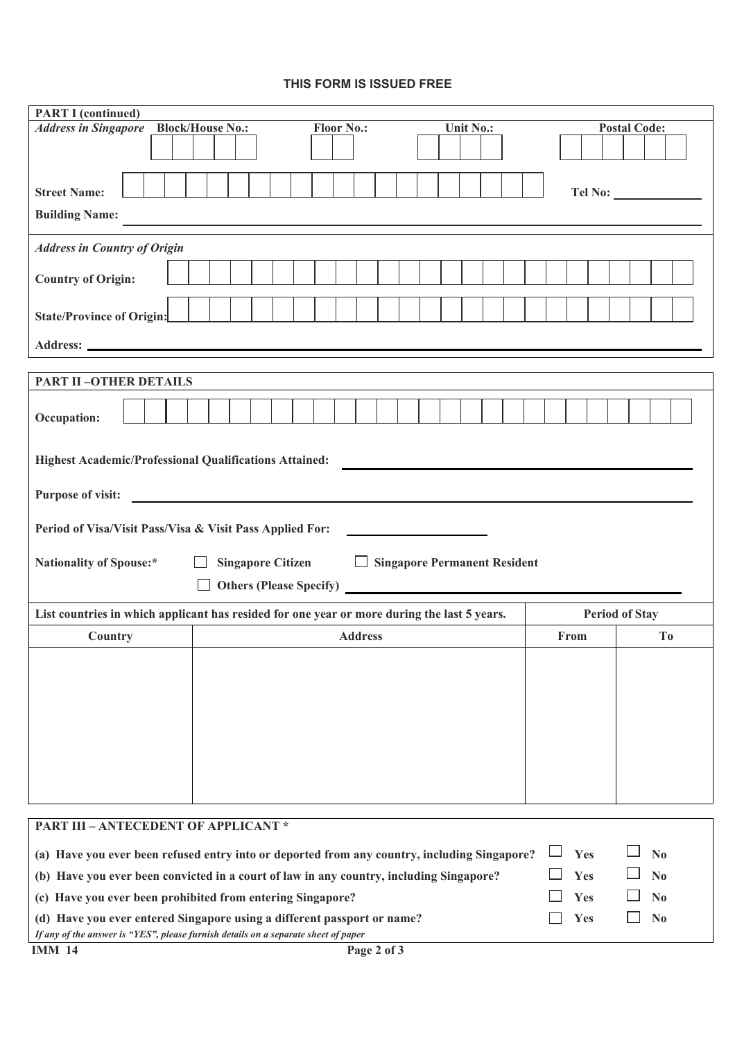## **THIS FORM IS ISSUED FREE**

| <b>PART I (continued)</b>                                                                                                                                     |           |                               |  |  |  |  |  |  |  |  |
|---------------------------------------------------------------------------------------------------------------------------------------------------------------|-----------|-------------------------------|--|--|--|--|--|--|--|--|
| <b>Address in Singapore</b> Block/House No.:<br><b>Floor No.:</b>                                                                                             | Unit No.: | <b>Postal Code:</b>           |  |  |  |  |  |  |  |  |
|                                                                                                                                                               |           |                               |  |  |  |  |  |  |  |  |
| <b>Street Name:</b>                                                                                                                                           |           |                               |  |  |  |  |  |  |  |  |
| <b>Building Name:</b>                                                                                                                                         |           |                               |  |  |  |  |  |  |  |  |
| <b>Address in Country of Origin</b>                                                                                                                           |           |                               |  |  |  |  |  |  |  |  |
| <b>Country of Origin:</b>                                                                                                                                     |           |                               |  |  |  |  |  |  |  |  |
| <b>State/Province of Origin:</b>                                                                                                                              |           |                               |  |  |  |  |  |  |  |  |
|                                                                                                                                                               |           |                               |  |  |  |  |  |  |  |  |
| <b>PART II-OTHER DETAILS</b>                                                                                                                                  |           |                               |  |  |  |  |  |  |  |  |
| Occupation:                                                                                                                                                   |           |                               |  |  |  |  |  |  |  |  |
| <b>Highest Academic/Professional Qualifications Attained:</b>                                                                                                 |           |                               |  |  |  |  |  |  |  |  |
| <b>Purpose of visit:</b>                                                                                                                                      |           |                               |  |  |  |  |  |  |  |  |
| Period of Visa/Visit Pass/Visa & Visit Pass Applied For:                                                                                                      |           |                               |  |  |  |  |  |  |  |  |
| <b>Singapore Citizen</b><br><b>Singapore Permanent Resident</b><br><b>Nationality of Spouse:*</b><br>$\Box$                                                   |           |                               |  |  |  |  |  |  |  |  |
|                                                                                                                                                               |           |                               |  |  |  |  |  |  |  |  |
| List countries in which applicant has resided for one year or more during the last 5 years.                                                                   |           | <b>Period of Stay</b>         |  |  |  |  |  |  |  |  |
| <b>Address</b><br>Country                                                                                                                                     |           | From<br>T <sub>o</sub>        |  |  |  |  |  |  |  |  |
|                                                                                                                                                               |           |                               |  |  |  |  |  |  |  |  |
|                                                                                                                                                               |           |                               |  |  |  |  |  |  |  |  |
|                                                                                                                                                               |           |                               |  |  |  |  |  |  |  |  |
|                                                                                                                                                               |           |                               |  |  |  |  |  |  |  |  |
|                                                                                                                                                               |           |                               |  |  |  |  |  |  |  |  |
|                                                                                                                                                               |           |                               |  |  |  |  |  |  |  |  |
| <b>PART III - ANTECEDENT OF APPLICANT *</b>                                                                                                                   |           |                               |  |  |  |  |  |  |  |  |
| (a) Have you ever been refused entry into or deported from any country, including Singapore?                                                                  |           | Yes<br>No                     |  |  |  |  |  |  |  |  |
| (b) Have you ever been convicted in a court of law in any country, including Singapore?                                                                       |           | Yes<br>$\mathbf{N}\mathbf{0}$ |  |  |  |  |  |  |  |  |
| (c) Have you ever been prohibited from entering Singapore?                                                                                                    |           | Yes<br>N <sub>0</sub>         |  |  |  |  |  |  |  |  |
| (d) Have you ever entered Singapore using a different passport or name?<br>If any of the answer is "YES", please furnish details on a separate sheet of paper |           | Yes<br>N <sub>0</sub>         |  |  |  |  |  |  |  |  |